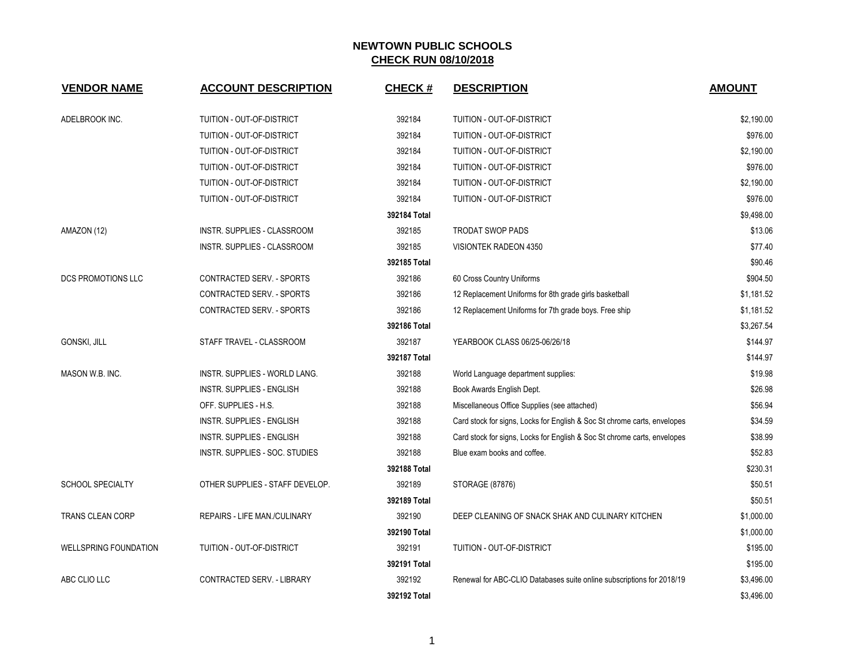| <b>VENDOR NAME</b>           | <b>ACCOUNT DESCRIPTION</b>       | <b>CHECK#</b> | <b>DESCRIPTION</b>                                                       | <b>AMOUNT</b> |
|------------------------------|----------------------------------|---------------|--------------------------------------------------------------------------|---------------|
| ADELBROOK INC.               | TUITION - OUT-OF-DISTRICT        | 392184        | TUITION - OUT-OF-DISTRICT                                                | \$2,190.00    |
|                              | TUITION - OUT-OF-DISTRICT        | 392184        | TUITION - OUT-OF-DISTRICT                                                | \$976.00      |
|                              | TUITION - OUT-OF-DISTRICT        | 392184        | <b>TUITION - OUT-OF-DISTRICT</b>                                         | \$2,190.00    |
|                              | TUITION - OUT-OF-DISTRICT        | 392184        | TUITION - OUT-OF-DISTRICT                                                | \$976.00      |
|                              | TUITION - OUT-OF-DISTRICT        | 392184        | TUITION - OUT-OF-DISTRICT                                                | \$2,190.00    |
|                              | TUITION - OUT-OF-DISTRICT        | 392184        | TUITION - OUT-OF-DISTRICT                                                | \$976.00      |
|                              |                                  | 392184 Total  |                                                                          | \$9,498.00    |
| AMAZON (12)                  | INSTR. SUPPLIES - CLASSROOM      | 392185        | <b>TRODAT SWOP PADS</b>                                                  | \$13.06       |
|                              | INSTR. SUPPLIES - CLASSROOM      | 392185        | VISIONTEK RADEON 4350                                                    | \$77.40       |
|                              |                                  | 392185 Total  |                                                                          | \$90.46       |
| <b>DCS PROMOTIONS LLC</b>    | CONTRACTED SERV. - SPORTS        | 392186        | 60 Cross Country Uniforms                                                | \$904.50      |
|                              | CONTRACTED SERV. - SPORTS        | 392186        | 12 Replacement Uniforms for 8th grade girls basketball                   | \$1,181.52    |
|                              | CONTRACTED SERV. - SPORTS        | 392186        | 12 Replacement Uniforms for 7th grade boys. Free ship                    | \$1,181.52    |
|                              |                                  | 392186 Total  |                                                                          | \$3,267.54    |
| <b>GONSKI, JILL</b>          | STAFF TRAVEL - CLASSROOM         | 392187        | YEARBOOK CLASS 06/25-06/26/18                                            | \$144.97      |
|                              |                                  | 392187 Total  |                                                                          | \$144.97      |
| MASON W.B. INC.              | INSTR. SUPPLIES - WORLD LANG.    | 392188        | World Language department supplies:                                      | \$19.98       |
|                              | <b>INSTR. SUPPLIES - ENGLISH</b> | 392188        | Book Awards English Dept.                                                | \$26.98       |
|                              | OFF. SUPPLIES - H.S.             | 392188        | Miscellaneous Office Supplies (see attached)                             | \$56.94       |
|                              | INSTR. SUPPLIES - ENGLISH        | 392188        | Card stock for signs, Locks for English & Soc St chrome carts, envelopes | \$34.59       |
|                              | INSTR. SUPPLIES - ENGLISH        | 392188        | Card stock for signs, Locks for English & Soc St chrome carts, envelopes | \$38.99       |
|                              | INSTR. SUPPLIES - SOC. STUDIES   | 392188        | Blue exam books and coffee.                                              | \$52.83       |
|                              |                                  | 392188 Total  |                                                                          | \$230.31      |
| <b>SCHOOL SPECIALTY</b>      | OTHER SUPPLIES - STAFF DEVELOP.  | 392189        | STORAGE (87876)                                                          | \$50.51       |
|                              |                                  | 392189 Total  |                                                                          | \$50.51       |
| TRANS CLEAN CORP             | REPAIRS - LIFE MAN./CULINARY     | 392190        | DEEP CLEANING OF SNACK SHAK AND CULINARY KITCHEN                         | \$1,000.00    |
|                              |                                  | 392190 Total  |                                                                          | \$1,000.00    |
| <b>WELLSPRING FOUNDATION</b> | TUITION - OUT-OF-DISTRICT        | 392191        | TUITION - OUT-OF-DISTRICT                                                | \$195.00      |
|                              |                                  | 392191 Total  |                                                                          | \$195.00      |
| ABC CLIO LLC                 | CONTRACTED SERV. - LIBRARY       | 392192        | Renewal for ABC-CLIO Databases suite online subscriptions for 2018/19    | \$3,496.00    |
|                              |                                  | 392192 Total  |                                                                          | \$3,496.00    |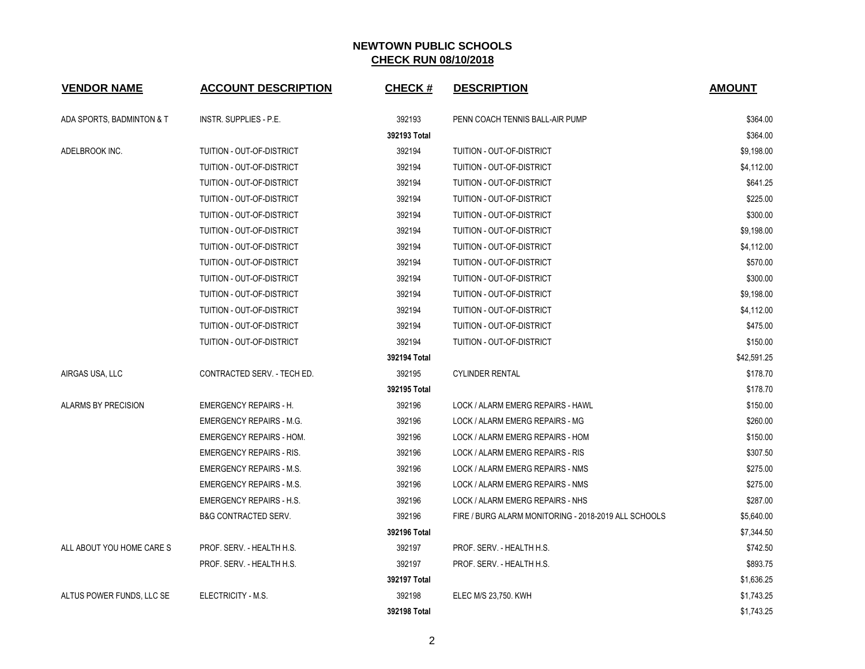| <b>VENDOR NAME</b>        | <b>ACCOUNT DESCRIPTION</b>      | <b>CHECK#</b> | <b>DESCRIPTION</b>                                   | <b>AMOUNT</b> |
|---------------------------|---------------------------------|---------------|------------------------------------------------------|---------------|
| ADA SPORTS, BADMINTON & T | INSTR. SUPPLIES - P.E.          | 392193        | PENN COACH TENNIS BALL-AIR PUMP                      | \$364.00      |
|                           |                                 | 392193 Total  |                                                      | \$364.00      |
| ADELBROOK INC.            | TUITION - OUT-OF-DISTRICT       | 392194        | TUITION - OUT-OF-DISTRICT                            | \$9,198.00    |
|                           | TUITION - OUT-OF-DISTRICT       | 392194        | TUITION - OUT-OF-DISTRICT                            | \$4,112.00    |
|                           | TUITION - OUT-OF-DISTRICT       | 392194        | TUITION - OUT-OF-DISTRICT                            | \$641.25      |
|                           | TUITION - OUT-OF-DISTRICT       | 392194        | TUITION - OUT-OF-DISTRICT                            | \$225.00      |
|                           | TUITION - OUT-OF-DISTRICT       | 392194        | TUITION - OUT-OF-DISTRICT                            | \$300.00      |
|                           | TUITION - OUT-OF-DISTRICT       | 392194        | TUITION - OUT-OF-DISTRICT                            | \$9,198.00    |
|                           | TUITION - OUT-OF-DISTRICT       | 392194        | TUITION - OUT-OF-DISTRICT                            | \$4,112.00    |
|                           | TUITION - OUT-OF-DISTRICT       | 392194        | TUITION - OUT-OF-DISTRICT                            | \$570.00      |
|                           | TUITION - OUT-OF-DISTRICT       | 392194        | TUITION - OUT-OF-DISTRICT                            | \$300.00      |
|                           | TUITION - OUT-OF-DISTRICT       | 392194        | TUITION - OUT-OF-DISTRICT                            | \$9,198.00    |
|                           | TUITION - OUT-OF-DISTRICT       | 392194        | TUITION - OUT-OF-DISTRICT                            | \$4,112.00    |
|                           | TUITION - OUT-OF-DISTRICT       | 392194        | TUITION - OUT-OF-DISTRICT                            | \$475.00      |
|                           | TUITION - OUT-OF-DISTRICT       | 392194        | TUITION - OUT-OF-DISTRICT                            | \$150.00      |
|                           |                                 | 392194 Total  |                                                      | \$42,591.25   |
| AIRGAS USA, LLC           | CONTRACTED SERV. - TECH ED.     | 392195        | <b>CYLINDER RENTAL</b>                               | \$178.70      |
|                           |                                 | 392195 Total  |                                                      | \$178.70      |
| ALARMS BY PRECISION       | <b>EMERGENCY REPAIRS - H.</b>   | 392196        | LOCK / ALARM EMERG REPAIRS - HAWL                    | \$150.00      |
|                           | <b>EMERGENCY REPAIRS - M.G.</b> | 392196        | LOCK / ALARM EMERG REPAIRS - MG                      | \$260.00      |
|                           | <b>EMERGENCY REPAIRS - HOM.</b> | 392196        | LOCK / ALARM EMERG REPAIRS - HOM                     | \$150.00      |
|                           | <b>EMERGENCY REPAIRS - RIS.</b> | 392196        | LOCK / ALARM EMERG REPAIRS - RIS                     | \$307.50      |
|                           | <b>EMERGENCY REPAIRS - M.S.</b> | 392196        | LOCK / ALARM EMERG REPAIRS - NMS                     | \$275.00      |
|                           | <b>EMERGENCY REPAIRS - M.S.</b> | 392196        | LOCK / ALARM EMERG REPAIRS - NMS                     | \$275.00      |
|                           | <b>EMERGENCY REPAIRS - H.S.</b> | 392196        | LOCK / ALARM EMERG REPAIRS - NHS                     | \$287.00      |
|                           | <b>B&amp;G CONTRACTED SERV.</b> | 392196        | FIRE / BURG ALARM MONITORING - 2018-2019 ALL SCHOOLS | \$5,640.00    |
|                           |                                 | 392196 Total  |                                                      | \$7,344.50    |
| ALL ABOUT YOU HOME CARE S | PROF. SERV. - HEALTH H.S.       | 392197        | PROF. SERV. - HEALTH H.S.                            | \$742.50      |
|                           | PROF. SERV. - HEALTH H.S.       | 392197        | PROF. SERV. - HEALTH H.S.                            | \$893.75      |
|                           |                                 | 392197 Total  |                                                      | \$1,636.25    |
| ALTUS POWER FUNDS, LLC SE | ELECTRICITY - M.S.              | 392198        | ELEC M/S 23,750. KWH                                 | \$1,743.25    |
|                           |                                 | 392198 Total  |                                                      | \$1,743.25    |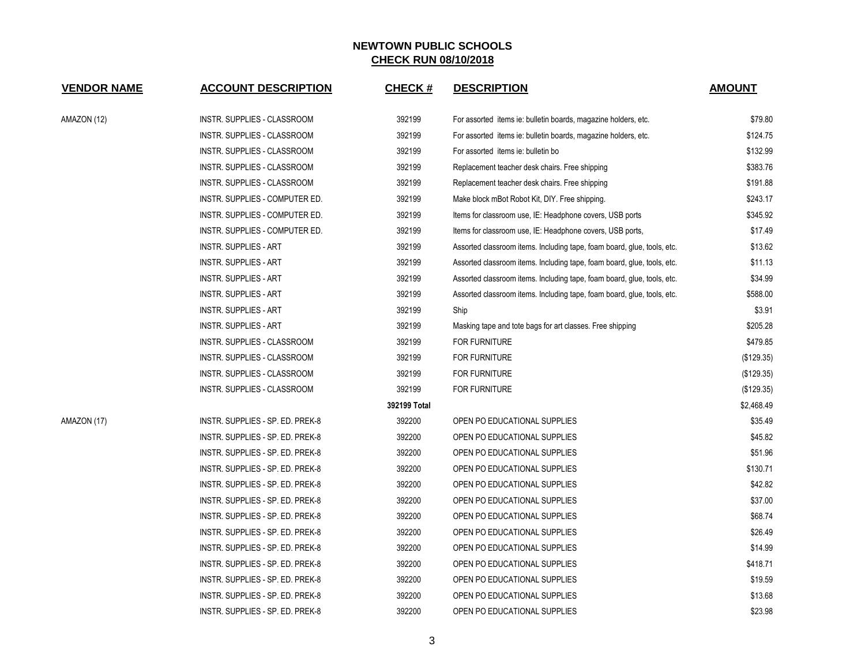| <b>VENDOR NAME</b> | <b>ACCOUNT DESCRIPTION</b>       | <b>CHECK#</b> | <b>DESCRIPTION</b>                                                      | <b>AMOUNT</b> |
|--------------------|----------------------------------|---------------|-------------------------------------------------------------------------|---------------|
| AMAZON (12)        | INSTR. SUPPLIES - CLASSROOM      | 392199        | For assorted items ie: bulletin boards, magazine holders, etc.          | \$79.80       |
|                    | INSTR. SUPPLIES - CLASSROOM      | 392199        | For assorted items ie: bulletin boards, magazine holders, etc.          | \$124.75      |
|                    | INSTR. SUPPLIES - CLASSROOM      | 392199        | For assorted items ie: bulletin bo                                      | \$132.99      |
|                    | INSTR. SUPPLIES - CLASSROOM      | 392199        | Replacement teacher desk chairs. Free shipping                          | \$383.76      |
|                    | INSTR. SUPPLIES - CLASSROOM      | 392199        | Replacement teacher desk chairs. Free shipping                          | \$191.88      |
|                    | INSTR. SUPPLIES - COMPUTER ED.   | 392199        | Make block mBot Robot Kit, DIY. Free shipping.                          | \$243.17      |
|                    | INSTR. SUPPLIES - COMPUTER ED.   | 392199        | Items for classroom use, IE: Headphone covers, USB ports                | \$345.92      |
|                    | INSTR. SUPPLIES - COMPUTER ED.   | 392199        | Items for classroom use, IE: Headphone covers, USB ports,               | \$17.49       |
|                    | <b>INSTR. SUPPLIES - ART</b>     | 392199        | Assorted classroom items. Including tape, foam board, glue, tools, etc. | \$13.62       |
|                    | <b>INSTR. SUPPLIES - ART</b>     | 392199        | Assorted classroom items. Including tape, foam board, glue, tools, etc. | \$11.13       |
|                    | <b>INSTR. SUPPLIES - ART</b>     | 392199        | Assorted classroom items. Including tape, foam board, glue, tools, etc. | \$34.99       |
|                    | <b>INSTR. SUPPLIES - ART</b>     | 392199        | Assorted classroom items. Including tape, foam board, glue, tools, etc. | \$588.00      |
|                    | <b>INSTR. SUPPLIES - ART</b>     | 392199        | Ship                                                                    | \$3.91        |
|                    | <b>INSTR. SUPPLIES - ART</b>     | 392199        | Masking tape and tote bags for art classes. Free shipping               | \$205.28      |
|                    | INSTR. SUPPLIES - CLASSROOM      | 392199        | <b>FOR FURNITURE</b>                                                    | \$479.85      |
|                    | INSTR. SUPPLIES - CLASSROOM      | 392199        | <b>FOR FURNITURE</b>                                                    | (\$129.35)    |
|                    | INSTR. SUPPLIES - CLASSROOM      | 392199        | <b>FOR FURNITURE</b>                                                    | (\$129.35)    |
|                    | INSTR. SUPPLIES - CLASSROOM      | 392199        | <b>FOR FURNITURE</b>                                                    | (\$129.35)    |
|                    |                                  | 392199 Total  |                                                                         | \$2,468.49    |
| AMAZON (17)        | INSTR. SUPPLIES - SP. ED. PREK-8 | 392200        | OPEN PO EDUCATIONAL SUPPLIES                                            | \$35.49       |
|                    | INSTR. SUPPLIES - SP. ED. PREK-8 | 392200        | OPEN PO EDUCATIONAL SUPPLIES                                            | \$45.82       |
|                    | INSTR. SUPPLIES - SP. ED. PREK-8 | 392200        | OPEN PO EDUCATIONAL SUPPLIES                                            | \$51.96       |
|                    | INSTR. SUPPLIES - SP. ED. PREK-8 | 392200        | OPEN PO EDUCATIONAL SUPPLIES                                            | \$130.71      |
|                    | INSTR. SUPPLIES - SP. ED. PREK-8 | 392200        | OPEN PO EDUCATIONAL SUPPLIES                                            | \$42.82       |
|                    | INSTR. SUPPLIES - SP. ED. PREK-8 | 392200        | OPEN PO EDUCATIONAL SUPPLIES                                            | \$37.00       |
|                    | INSTR. SUPPLIES - SP. ED. PREK-8 | 392200        | OPEN PO EDUCATIONAL SUPPLIES                                            | \$68.74       |
|                    | INSTR. SUPPLIES - SP. ED. PREK-8 | 392200        | OPEN PO EDUCATIONAL SUPPLIES                                            | \$26.49       |
|                    | INSTR. SUPPLIES - SP. ED. PREK-8 | 392200        | OPEN PO EDUCATIONAL SUPPLIES                                            | \$14.99       |
|                    | INSTR. SUPPLIES - SP. ED. PREK-8 | 392200        | OPEN PO EDUCATIONAL SUPPLIES                                            | \$418.71      |
|                    | INSTR. SUPPLIES - SP. ED. PREK-8 | 392200        | OPEN PO EDUCATIONAL SUPPLIES                                            | \$19.59       |
|                    | INSTR. SUPPLIES - SP. ED. PREK-8 | 392200        | OPEN PO EDUCATIONAL SUPPLIES                                            | \$13.68       |
|                    | INSTR. SUPPLIES - SP. ED. PREK-8 | 392200        | OPEN PO EDUCATIONAL SUPPLIES                                            | \$23.98       |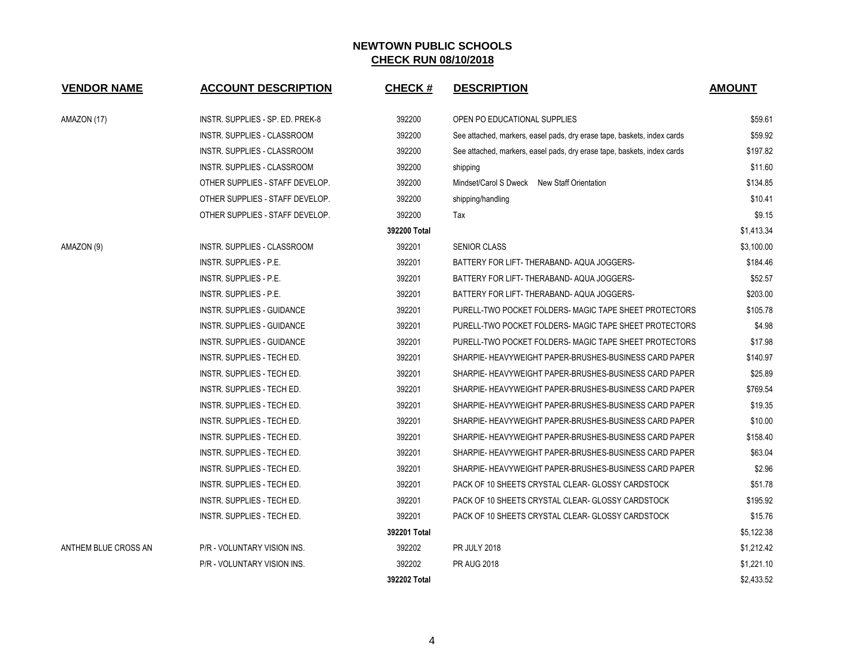| <b>VENDOR NAME</b>   | <b>ACCOUNT DESCRIPTION</b>         | <b>CHECK#</b> | <b>DESCRIPTION</b>                                                      | <b>AMOUNT</b> |
|----------------------|------------------------------------|---------------|-------------------------------------------------------------------------|---------------|
|                      |                                    |               |                                                                         |               |
| AMAZON (17)          | INSTR. SUPPLIES - SP. ED. PREK-8   | 392200        | OPEN PO EDUCATIONAL SUPPLIES                                            | \$59.61       |
|                      | INSTR. SUPPLIES - CLASSROOM        | 392200        | See attached, markers, easel pads, dry erase tape, baskets, index cards | \$59.92       |
|                      | <b>INSTR. SUPPLIES - CLASSROOM</b> | 392200        | See attached, markers, easel pads, dry erase tape, baskets, index cards | \$197.82      |
|                      | INSTR. SUPPLIES - CLASSROOM        | 392200        | shipping                                                                | \$11.60       |
|                      | OTHER SUPPLIES - STAFF DEVELOP.    | 392200        | Mindset/Carol S Dweck New Staff Orientation                             | \$134.85      |
|                      | OTHER SUPPLIES - STAFF DEVELOP.    | 392200        | shipping/handling                                                       | \$10.41       |
|                      | OTHER SUPPLIES - STAFF DEVELOP.    | 392200        | Tax                                                                     | \$9.15        |
|                      |                                    | 392200 Total  |                                                                         | \$1,413.34    |
| AMAZON (9)           | INSTR. SUPPLIES - CLASSROOM        | 392201        | <b>SENIOR CLASS</b>                                                     | \$3,100.00    |
|                      | INSTR. SUPPLIES - P.E.             | 392201        | BATTERY FOR LIFT- THERABAND- AQUA JOGGERS-                              | \$184.46      |
|                      | INSTR. SUPPLIES - P.E.             | 392201        | BATTERY FOR LIFT- THERABAND- AQUA JOGGERS-                              | \$52.57       |
|                      | <b>INSTR. SUPPLIES - P.E.</b>      | 392201        | BATTERY FOR LIFT- THERABAND- AQUA JOGGERS-                              | \$203.00      |
|                      | INSTR. SUPPLIES - GUIDANCE         | 392201        | PURELL-TWO POCKET FOLDERS- MAGIC TAPE SHEET PROTECTORS                  | \$105.78      |
|                      | INSTR. SUPPLIES - GUIDANCE         | 392201        | PURELL-TWO POCKET FOLDERS- MAGIC TAPE SHEET PROTECTORS                  | \$4.98        |
|                      | INSTR. SUPPLIES - GUIDANCE         | 392201        | PURELL-TWO POCKET FOLDERS- MAGIC TAPE SHEET PROTECTORS                  | \$17.98       |
|                      | INSTR. SUPPLIES - TECH ED.         | 392201        | SHARPIE- HEAVYWEIGHT PAPER-BRUSHES-BUSINESS CARD PAPER                  | \$140.97      |
|                      | INSTR. SUPPLIES - TECH ED.         | 392201        | SHARPIE- HEAVYWEIGHT PAPER-BRUSHES-BUSINESS CARD PAPER                  | \$25.89       |
|                      | INSTR. SUPPLIES - TECH ED.         | 392201        | SHARPIE- HEAVYWEIGHT PAPER-BRUSHES-BUSINESS CARD PAPER                  | \$769.54      |
|                      | INSTR. SUPPLIES - TECH ED.         | 392201        | SHARPIE- HEAVYWEIGHT PAPER-BRUSHES-BUSINESS CARD PAPER                  | \$19.35       |
|                      | INSTR. SUPPLIES - TECH ED.         | 392201        | SHARPIE- HEAVYWEIGHT PAPER-BRUSHES-BUSINESS CARD PAPER                  | \$10.00       |
|                      | INSTR. SUPPLIES - TECH ED.         | 392201        | SHARPIE- HEAVYWEIGHT PAPER-BRUSHES-BUSINESS CARD PAPER                  | \$158.40      |
|                      | INSTR. SUPPLIES - TECH ED.         | 392201        | SHARPIE- HEAVYWEIGHT PAPER-BRUSHES-BUSINESS CARD PAPER                  | \$63.04       |
|                      | INSTR. SUPPLIES - TECH ED.         | 392201        | SHARPIE- HEAVYWEIGHT PAPER-BRUSHES-BUSINESS CARD PAPER                  | \$2.96        |
|                      | INSTR. SUPPLIES - TECH ED.         | 392201        | PACK OF 10 SHEETS CRYSTAL CLEAR- GLOSSY CARDSTOCK                       | \$51.78       |
|                      | INSTR. SUPPLIES - TECH ED.         | 392201        | PACK OF 10 SHEETS CRYSTAL CLEAR- GLOSSY CARDSTOCK                       | \$195.92      |
|                      | INSTR. SUPPLIES - TECH ED.         | 392201        | PACK OF 10 SHEETS CRYSTAL CLEAR- GLOSSY CARDSTOCK                       | \$15.76       |
|                      |                                    | 392201 Total  |                                                                         | \$5,122.38    |
| ANTHEM BLUE CROSS AN | P/R - VOLUNTARY VISION INS.        | 392202        | <b>PR JULY 2018</b>                                                     | \$1,212.42    |
|                      | P/R - VOLUNTARY VISION INS.        | 392202        | <b>PR AUG 2018</b>                                                      | \$1,221.10    |
|                      |                                    | 392202 Total  |                                                                         | \$2,433.52    |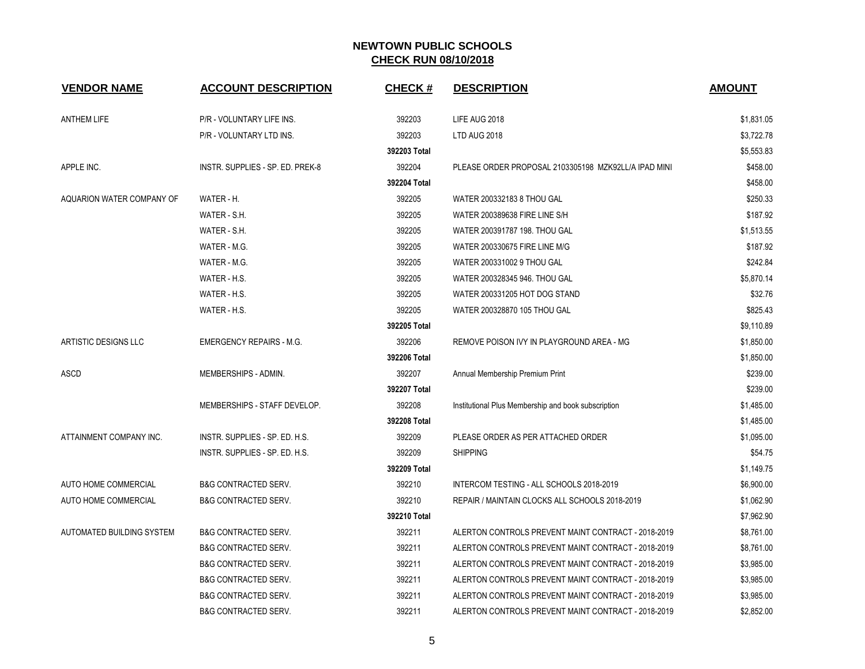| <b>VENDOR NAME</b>        | <b>ACCOUNT DESCRIPTION</b>       | <b>CHECK#</b> | <b>DESCRIPTION</b>                                   | <b>AMOUNT</b> |
|---------------------------|----------------------------------|---------------|------------------------------------------------------|---------------|
| <b>ANTHEM LIFE</b>        | P/R - VOLUNTARY LIFE INS.        | 392203        | LIFE AUG 2018                                        | \$1,831.05    |
|                           | P/R - VOLUNTARY LTD INS.         | 392203        | LTD AUG 2018                                         | \$3,722.78    |
|                           |                                  | 392203 Total  |                                                      | \$5,553.83    |
| APPLE INC.                | INSTR. SUPPLIES - SP. ED. PREK-8 | 392204        | PLEASE ORDER PROPOSAL 2103305198 MZK92LL/A IPAD MINI | \$458.00      |
|                           |                                  | 392204 Total  |                                                      | \$458.00      |
| AQUARION WATER COMPANY OF | WATER - H.                       | 392205        | WATER 200332183 8 THOU GAL                           | \$250.33      |
|                           | WATER - S.H.                     | 392205        | WATER 200389638 FIRE LINE S/H                        | \$187.92      |
|                           | WATER - S.H.                     | 392205        | WATER 200391787 198. THOU GAL                        | \$1,513.55    |
|                           | WATER - M.G.                     | 392205        | WATER 200330675 FIRE LINE M/G                        | \$187.92      |
|                           | WATER - M.G.                     | 392205        | WATER 200331002 9 THOU GAL                           | \$242.84      |
|                           | WATER - H.S.                     | 392205        | WATER 200328345 946. THOU GAL                        | \$5,870.14    |
|                           | WATER - H.S.                     | 392205        | WATER 200331205 HOT DOG STAND                        | \$32.76       |
|                           | WATER - H.S.                     | 392205        | WATER 200328870 105 THOU GAL                         | \$825.43      |
|                           |                                  | 392205 Total  |                                                      | \$9,110.89    |
| ARTISTIC DESIGNS LLC      | <b>EMERGENCY REPAIRS - M.G.</b>  | 392206        | REMOVE POISON IVY IN PLAYGROUND AREA - MG            | \$1,850.00    |
|                           |                                  | 392206 Total  |                                                      | \$1,850.00    |
| ASCD                      | MEMBERSHIPS - ADMIN.             | 392207        | Annual Membership Premium Print                      | \$239.00      |
|                           |                                  | 392207 Total  |                                                      | \$239.00      |
|                           | MEMBERSHIPS - STAFF DEVELOP.     | 392208        | Institutional Plus Membership and book subscription  | \$1,485.00    |
|                           |                                  | 392208 Total  |                                                      | \$1,485.00    |
| ATTAINMENT COMPANY INC.   | INSTR. SUPPLIES - SP. ED. H.S.   | 392209        | PLEASE ORDER AS PER ATTACHED ORDER                   | \$1,095.00    |
|                           | INSTR. SUPPLIES - SP. ED. H.S.   | 392209        | <b>SHIPPING</b>                                      | \$54.75       |
|                           |                                  | 392209 Total  |                                                      | \$1,149.75    |
| AUTO HOME COMMERCIAL      | <b>B&amp;G CONTRACTED SERV.</b>  | 392210        | INTERCOM TESTING - ALL SCHOOLS 2018-2019             | \$6,900.00    |
| AUTO HOME COMMERCIAL      | <b>B&amp;G CONTRACTED SERV.</b>  | 392210        | REPAIR / MAINTAIN CLOCKS ALL SCHOOLS 2018-2019       | \$1,062.90    |
|                           |                                  | 392210 Total  |                                                      | \$7,962.90    |
| AUTOMATED BUILDING SYSTEM | <b>B&amp;G CONTRACTED SERV.</b>  | 392211        | ALERTON CONTROLS PREVENT MAINT CONTRACT - 2018-2019  | \$8,761.00    |
|                           | <b>B&amp;G CONTRACTED SERV.</b>  | 392211        | ALERTON CONTROLS PREVENT MAINT CONTRACT - 2018-2019  | \$8,761.00    |
|                           | <b>B&amp;G CONTRACTED SERV.</b>  | 392211        | ALERTON CONTROLS PREVENT MAINT CONTRACT - 2018-2019  | \$3,985.00    |
|                           | <b>B&amp;G CONTRACTED SERV.</b>  | 392211        | ALERTON CONTROLS PREVENT MAINT CONTRACT - 2018-2019  | \$3,985.00    |
|                           | <b>B&amp;G CONTRACTED SERV.</b>  | 392211        | ALERTON CONTROLS PREVENT MAINT CONTRACT - 2018-2019  | \$3,985.00    |
|                           | <b>B&amp;G CONTRACTED SERV.</b>  | 392211        | ALERTON CONTROLS PREVENT MAINT CONTRACT - 2018-2019  | \$2,852.00    |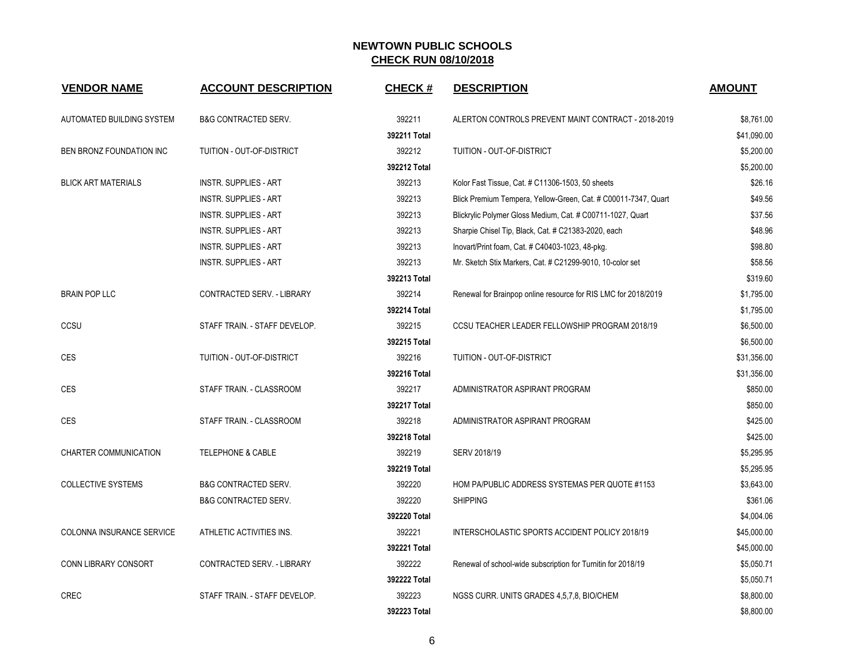| <b>VENDOR NAME</b>          | <b>ACCOUNT DESCRIPTION</b>      | <b>CHECK#</b> | <b>DESCRIPTION</b>                                             | <b>AMOUNT</b> |
|-----------------------------|---------------------------------|---------------|----------------------------------------------------------------|---------------|
| AUTOMATED BUILDING SYSTEM   | B&G CONTRACTED SERV.            | 392211        | ALERTON CONTROLS PREVENT MAINT CONTRACT - 2018-2019            | \$8,761.00    |
|                             |                                 | 392211 Total  |                                                                | \$41,090.00   |
| BEN BRONZ FOUNDATION INC    | TUITION - OUT-OF-DISTRICT       | 392212        | TUITION - OUT-OF-DISTRICT                                      | \$5,200.00    |
|                             |                                 | 392212 Total  |                                                                | \$5,200.00    |
| <b>BLICK ART MATERIALS</b>  | <b>INSTR. SUPPLIES - ART</b>    | 392213        | Kolor Fast Tissue, Cat. # C11306-1503, 50 sheets               | \$26.16       |
|                             | <b>INSTR. SUPPLIES - ART</b>    | 392213        | Blick Premium Tempera, Yellow-Green, Cat. # C00011-7347, Quart | \$49.56       |
|                             | <b>INSTR. SUPPLIES - ART</b>    | 392213        | Blickrylic Polymer Gloss Medium, Cat. # C00711-1027, Quart     | \$37.56       |
|                             | <b>INSTR. SUPPLIES - ART</b>    | 392213        | Sharpie Chisel Tip, Black, Cat. # C21383-2020, each            | \$48.96       |
|                             | <b>INSTR. SUPPLIES - ART</b>    | 392213        | Inovart/Print foam, Cat. # C40403-1023, 48-pkg.                | \$98.80       |
|                             | <b>INSTR. SUPPLIES - ART</b>    | 392213        | Mr. Sketch Stix Markers, Cat. # C21299-9010, 10-color set      | \$58.56       |
|                             |                                 | 392213 Total  |                                                                | \$319.60      |
| <b>BRAIN POP LLC</b>        | CONTRACTED SERV. - LIBRARY      | 392214        | Renewal for Brainpop online resource for RIS LMC for 2018/2019 | \$1,795.00    |
|                             |                                 | 392214 Total  |                                                                | \$1,795.00    |
| CCSU                        | STAFF TRAIN. - STAFF DEVELOP.   | 392215        | CCSU TEACHER LEADER FELLOWSHIP PROGRAM 2018/19                 | \$6,500.00    |
|                             |                                 | 392215 Total  |                                                                | \$6,500.00    |
| CES                         | TUITION - OUT-OF-DISTRICT       | 392216        | TUITION - OUT-OF-DISTRICT                                      | \$31,356.00   |
|                             |                                 | 392216 Total  |                                                                | \$31,356.00   |
| <b>CES</b>                  | STAFF TRAIN. - CLASSROOM        | 392217        | ADMINISTRATOR ASPIRANT PROGRAM                                 | \$850.00      |
|                             |                                 | 392217 Total  |                                                                | \$850.00      |
| <b>CES</b>                  | STAFF TRAIN. - CLASSROOM        | 392218        | ADMINISTRATOR ASPIRANT PROGRAM                                 | \$425.00      |
|                             |                                 | 392218 Total  |                                                                | \$425.00      |
| CHARTER COMMUNICATION       | <b>TELEPHONE &amp; CABLE</b>    | 392219        | SERV 2018/19                                                   | \$5,295.95    |
|                             |                                 | 392219 Total  |                                                                | \$5,295.95    |
| <b>COLLECTIVE SYSTEMS</b>   | <b>B&amp;G CONTRACTED SERV.</b> | 392220        | HOM PA/PUBLIC ADDRESS SYSTEMAS PER QUOTE #1153                 | \$3,643.00    |
|                             | <b>B&amp;G CONTRACTED SERV.</b> | 392220        | <b>SHIPPING</b>                                                | \$361.06      |
|                             |                                 | 392220 Total  |                                                                | \$4,004.06    |
| COLONNA INSURANCE SERVICE   | ATHLETIC ACTIVITIES INS.        | 392221        | INTERSCHOLASTIC SPORTS ACCIDENT POLICY 2018/19                 | \$45,000.00   |
|                             |                                 | 392221 Total  |                                                                | \$45,000.00   |
| <b>CONN LIBRARY CONSORT</b> | CONTRACTED SERV. - LIBRARY      | 392222        | Renewal of school-wide subscription for Turnitin for 2018/19   | \$5,050.71    |
|                             |                                 | 392222 Total  |                                                                | \$5,050.71    |
| <b>CREC</b>                 | STAFF TRAIN. - STAFF DEVELOP.   | 392223        | NGSS CURR. UNITS GRADES 4,5,7,8, BIO/CHEM                      | \$8,800.00    |
|                             |                                 | 392223 Total  |                                                                | \$8,800.00    |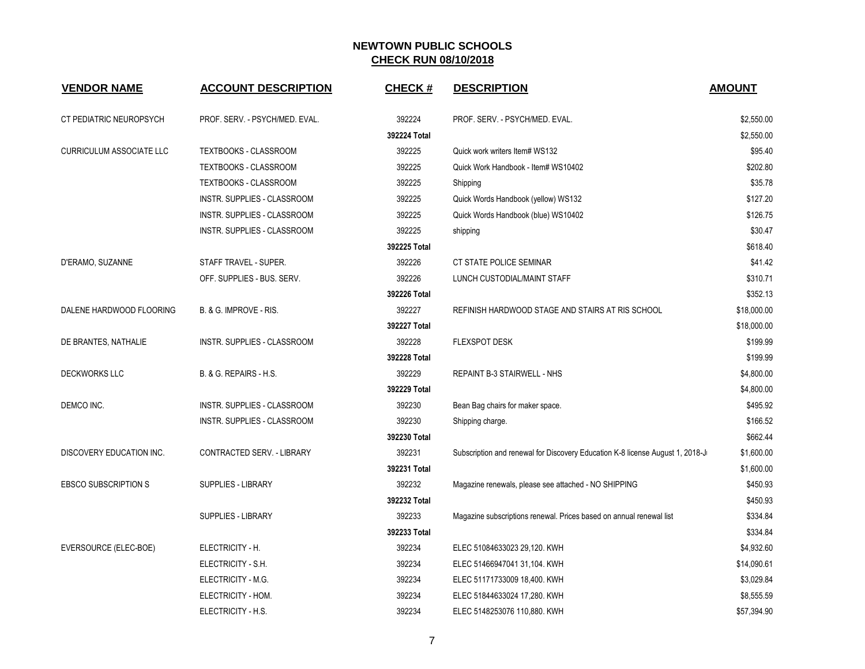| <b>VENDOR NAME</b>              | <b>ACCOUNT DESCRIPTION</b>         | <b>CHECK#</b> | <b>DESCRIPTION</b>                                                            | <b>AMOUNT</b> |
|---------------------------------|------------------------------------|---------------|-------------------------------------------------------------------------------|---------------|
| CT PEDIATRIC NEUROPSYCH         | PROF. SERV. - PSYCH/MED. EVAL.     | 392224        | PROF. SERV. - PSYCH/MED. EVAL.                                                | \$2,550.00    |
|                                 |                                    | 392224 Total  |                                                                               | \$2,550.00    |
| <b>CURRICULUM ASSOCIATE LLC</b> | TEXTBOOKS - CLASSROOM              | 392225        | Quick work writers Item# WS132                                                | \$95.40       |
|                                 | TEXTBOOKS - CLASSROOM              | 392225        | Quick Work Handbook - Item# WS10402                                           | \$202.80      |
|                                 | TEXTBOOKS - CLASSROOM              | 392225        | Shipping                                                                      | \$35.78       |
|                                 | INSTR. SUPPLIES - CLASSROOM        | 392225        | Quick Words Handbook (yellow) WS132                                           | \$127.20      |
|                                 | INSTR. SUPPLIES - CLASSROOM        | 392225        | Quick Words Handbook (blue) WS10402                                           | \$126.75      |
|                                 | INSTR. SUPPLIES - CLASSROOM        | 392225        | shipping                                                                      | \$30.47       |
|                                 |                                    | 392225 Total  |                                                                               | \$618.40      |
| D'ERAMO, SUZANNE                | STAFF TRAVEL - SUPER.              | 392226        | CT STATE POLICE SEMINAR                                                       | \$41.42       |
|                                 | OFF. SUPPLIES - BUS. SERV.         | 392226        | LUNCH CUSTODIAL/MAINT STAFF                                                   | \$310.71      |
|                                 |                                    | 392226 Total  |                                                                               | \$352.13      |
| DALENE HARDWOOD FLOORING        | B. & G. IMPROVE - RIS.             | 392227        | REFINISH HARDWOOD STAGE AND STAIRS AT RIS SCHOOL                              | \$18,000.00   |
|                                 |                                    | 392227 Total  |                                                                               | \$18,000.00   |
| DE BRANTES, NATHALIE            | INSTR. SUPPLIES - CLASSROOM        | 392228        | <b>FLEXSPOT DESK</b>                                                          | \$199.99      |
|                                 |                                    | 392228 Total  |                                                                               | \$199.99      |
| <b>DECKWORKS LLC</b>            | B. & G. REPAIRS - H.S.             | 392229        | REPAINT B-3 STAIRWELL - NHS                                                   | \$4,800.00    |
|                                 |                                    | 392229 Total  |                                                                               | \$4,800.00    |
| DEMCO INC.                      | <b>INSTR. SUPPLIES - CLASSROOM</b> | 392230        | Bean Bag chairs for maker space.                                              | \$495.92      |
|                                 | INSTR. SUPPLIES - CLASSROOM        | 392230        | Shipping charge.                                                              | \$166.52      |
|                                 |                                    | 392230 Total  |                                                                               | \$662.44      |
| DISCOVERY EDUCATION INC.        | CONTRACTED SERV. - LIBRARY         | 392231        | Subscription and renewal for Discovery Education K-8 license August 1, 2018-J | \$1,600.00    |
|                                 |                                    | 392231 Total  |                                                                               | \$1,600.00    |
| <b>EBSCO SUBSCRIPTION S</b>     | <b>SUPPLIES - LIBRARY</b>          | 392232        | Magazine renewals, please see attached - NO SHIPPING                          | \$450.93      |
|                                 |                                    | 392232 Total  |                                                                               | \$450.93      |
|                                 | <b>SUPPLIES - LIBRARY</b>          | 392233        | Magazine subscriptions renewal. Prices based on annual renewal list           | \$334.84      |
|                                 |                                    | 392233 Total  |                                                                               | \$334.84      |
| EVERSOURCE (ELEC-BOE)           | ELECTRICITY - H.                   | 392234        | ELEC 51084633023 29,120. KWH                                                  | \$4,932.60    |
|                                 | ELECTRICITY - S.H.                 | 392234        | ELEC 51466947041 31,104. KWH                                                  | \$14,090.61   |
|                                 | ELECTRICITY - M.G.                 | 392234        | ELEC 51171733009 18,400. KWH                                                  | \$3,029.84    |
|                                 | ELECTRICITY - HOM.                 | 392234        | ELEC 51844633024 17,280. KWH                                                  | \$8,555.59    |
|                                 | ELECTRICITY - H.S.                 | 392234        | ELEC 5148253076 110,880. KWH                                                  | \$57,394.90   |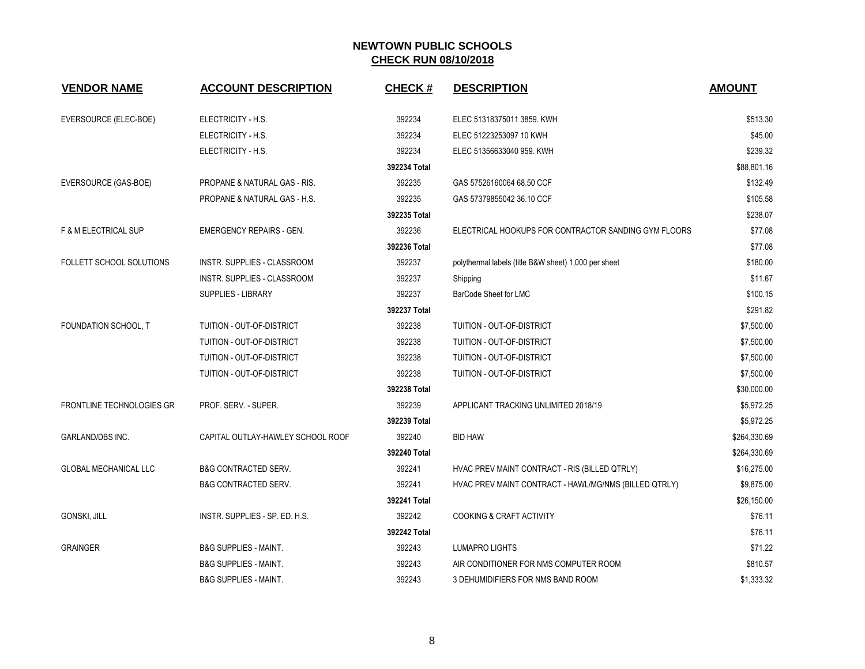| <b>VENDOR NAME</b>               | <b>ACCOUNT DESCRIPTION</b>        | <b>CHECK#</b> | <b>DESCRIPTION</b>                                    | <b>AMOUNT</b> |
|----------------------------------|-----------------------------------|---------------|-------------------------------------------------------|---------------|
| EVERSOURCE (ELEC-BOE)            | ELECTRICITY - H.S.                | 392234        | ELEC 51318375011 3859. KWH                            | \$513.30      |
|                                  | ELECTRICITY - H.S.                | 392234        | ELEC 51223253097 10 KWH                               | \$45.00       |
|                                  | ELECTRICITY - H.S.                | 392234        | ELEC 51356633040 959. KWH                             | \$239.32      |
|                                  |                                   | 392234 Total  |                                                       | \$88,801.16   |
| EVERSOURCE (GAS-BOE)             | PROPANE & NATURAL GAS - RIS.      | 392235        | GAS 57526160064 68.50 CCF                             | \$132.49      |
|                                  | PROPANE & NATURAL GAS - H.S.      | 392235        | GAS 57379855042 36.10 CCF                             | \$105.58      |
|                                  |                                   | 392235 Total  |                                                       | \$238.07      |
| <b>F &amp; M ELECTRICAL SUP</b>  | <b>EMERGENCY REPAIRS - GEN.</b>   | 392236        | ELECTRICAL HOOKUPS FOR CONTRACTOR SANDING GYM FLOORS  | \$77.08       |
|                                  |                                   | 392236 Total  |                                                       | \$77.08       |
| FOLLETT SCHOOL SOLUTIONS         | INSTR. SUPPLIES - CLASSROOM       | 392237        | polythermal labels (title B&W sheet) 1,000 per sheet  | \$180.00      |
|                                  | INSTR. SUPPLIES - CLASSROOM       | 392237        | Shipping                                              | \$11.67       |
|                                  | SUPPLIES - LIBRARY                | 392237        | BarCode Sheet for LMC                                 | \$100.15      |
|                                  |                                   | 392237 Total  |                                                       | \$291.82      |
| FOUNDATION SCHOOL, T             | TUITION - OUT-OF-DISTRICT         | 392238        | TUITION - OUT-OF-DISTRICT                             | \$7,500.00    |
|                                  | TUITION - OUT-OF-DISTRICT         | 392238        | TUITION - OUT-OF-DISTRICT                             | \$7,500.00    |
|                                  | TUITION - OUT-OF-DISTRICT         | 392238        | TUITION - OUT-OF-DISTRICT                             | \$7,500.00    |
|                                  | TUITION - OUT-OF-DISTRICT         | 392238        | TUITION - OUT-OF-DISTRICT                             | \$7,500.00    |
|                                  |                                   | 392238 Total  |                                                       | \$30,000.00   |
| <b>FRONTLINE TECHNOLOGIES GR</b> | PROF. SERV. - SUPER.              | 392239        | APPLICANT TRACKING UNLIMITED 2018/19                  | \$5,972.25    |
|                                  |                                   | 392239 Total  |                                                       | \$5,972.25    |
| GARLAND/DBS INC.                 | CAPITAL OUTLAY-HAWLEY SCHOOL ROOF | 392240        | <b>BID HAW</b>                                        | \$264,330.69  |
|                                  |                                   | 392240 Total  |                                                       | \$264,330.69  |
| <b>GLOBAL MECHANICAL LLC</b>     | <b>B&amp;G CONTRACTED SERV.</b>   | 392241        | HVAC PREV MAINT CONTRACT - RIS (BILLED QTRLY)         | \$16,275.00   |
|                                  | <b>B&amp;G CONTRACTED SERV.</b>   | 392241        | HVAC PREV MAINT CONTRACT - HAWL/MG/NMS (BILLED QTRLY) | \$9,875.00    |
|                                  |                                   | 392241 Total  |                                                       | \$26,150.00   |
| <b>GONSKI, JILL</b>              | INSTR. SUPPLIES - SP. ED. H.S.    | 392242        | <b>COOKING &amp; CRAFT ACTIVITY</b>                   | \$76.11       |
|                                  |                                   | 392242 Total  |                                                       | \$76.11       |
| <b>GRAINGER</b>                  | <b>B&amp;G SUPPLIES - MAINT.</b>  | 392243        | LUMAPRO LIGHTS                                        | \$71.22       |
|                                  | <b>B&amp;G SUPPLIES - MAINT.</b>  | 392243        | AIR CONDITIONER FOR NMS COMPUTER ROOM                 | \$810.57      |
|                                  | <b>B&amp;G SUPPLIES - MAINT.</b>  | 392243        | 3 DEHUMIDIFIERS FOR NMS BAND ROOM                     | \$1,333.32    |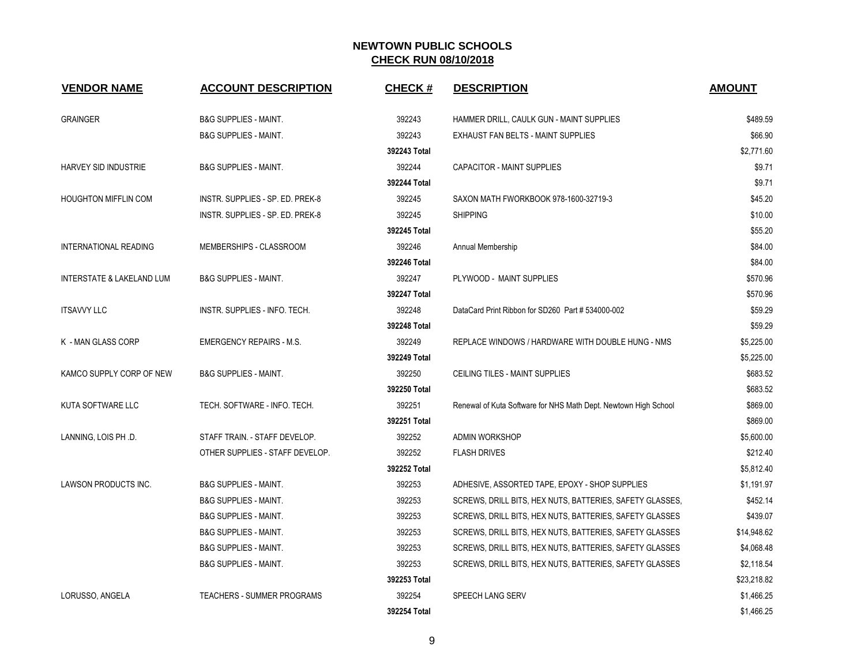| <b>VENDOR NAME</b>           | <b>ACCOUNT DESCRIPTION</b>        | <b>CHECK#</b> | <b>DESCRIPTION</b>                                              | <b>AMOUNT</b> |
|------------------------------|-----------------------------------|---------------|-----------------------------------------------------------------|---------------|
| <b>GRAINGER</b>              | <b>B&amp;G SUPPLIES - MAINT.</b>  | 392243        | HAMMER DRILL, CAULK GUN - MAINT SUPPLIES                        | \$489.59      |
|                              | <b>B&amp;G SUPPLIES - MAINT.</b>  | 392243        | EXHAUST FAN BELTS - MAINT SUPPLIES                              | \$66.90       |
|                              |                                   | 392243 Total  |                                                                 | \$2,771.60    |
| <b>HARVEY SID INDUSTRIE</b>  | <b>B&amp;G SUPPLIES - MAINT.</b>  | 392244        | <b>CAPACITOR - MAINT SUPPLIES</b>                               | \$9.71        |
|                              |                                   | 392244 Total  |                                                                 | \$9.71        |
| <b>HOUGHTON MIFFLIN COM</b>  | INSTR. SUPPLIES - SP. ED. PREK-8  | 392245        | SAXON MATH FWORKBOOK 978-1600-32719-3                           | \$45.20       |
|                              | INSTR. SUPPLIES - SP. ED. PREK-8  | 392245        | <b>SHIPPING</b>                                                 | \$10.00       |
|                              |                                   | 392245 Total  |                                                                 | \$55.20       |
| <b>INTERNATIONAL READING</b> | MEMBERSHIPS - CLASSROOM           | 392246        | Annual Membership                                               | \$84.00       |
|                              |                                   | 392246 Total  |                                                                 | \$84.00       |
| INTERSTATE & LAKELAND LUM    | <b>B&amp;G SUPPLIES - MAINT.</b>  | 392247        | PLYWOOD - MAINT SUPPLIES                                        | \$570.96      |
|                              |                                   | 392247 Total  |                                                                 | \$570.96      |
| <b>ITSAVVY LLC</b>           | INSTR. SUPPLIES - INFO. TECH.     | 392248        | DataCard Print Ribbon for SD260 Part # 534000-002               | \$59.29       |
|                              |                                   | 392248 Total  |                                                                 | \$59.29       |
| K - MAN GLASS CORP           | <b>EMERGENCY REPAIRS - M.S.</b>   | 392249        | REPLACE WINDOWS / HARDWARE WITH DOUBLE HUNG - NMS               | \$5,225.00    |
|                              |                                   | 392249 Total  |                                                                 | \$5,225.00    |
| KAMCO SUPPLY CORP OF NEW     | <b>B&amp;G SUPPLIES - MAINT.</b>  | 392250        | CEILING TILES - MAINT SUPPLIES                                  | \$683.52      |
|                              |                                   | 392250 Total  |                                                                 | \$683.52      |
| KUTA SOFTWARE LLC            | TECH. SOFTWARE - INFO. TECH.      | 392251        | Renewal of Kuta Software for NHS Math Dept. Newtown High School | \$869.00      |
|                              |                                   | 392251 Total  |                                                                 | \$869.00      |
| LANNING, LOIS PH .D.         | STAFF TRAIN. - STAFF DEVELOP.     | 392252        | <b>ADMIN WORKSHOP</b>                                           | \$5,600.00    |
|                              | OTHER SUPPLIES - STAFF DEVELOP.   | 392252        | <b>FLASH DRIVES</b>                                             | \$212.40      |
|                              |                                   | 392252 Total  |                                                                 | \$5,812.40    |
| LAWSON PRODUCTS INC.         | <b>B&amp;G SUPPLIES - MAINT.</b>  | 392253        | ADHESIVE, ASSORTED TAPE, EPOXY - SHOP SUPPLIES                  | \$1,191.97    |
|                              | <b>B&amp;G SUPPLIES - MAINT.</b>  | 392253        | SCREWS, DRILL BITS, HEX NUTS, BATTERIES, SAFETY GLASSES,        | \$452.14      |
|                              | <b>B&amp;G SUPPLIES - MAINT.</b>  | 392253        | SCREWS, DRILL BITS, HEX NUTS, BATTERIES, SAFETY GLASSES         | \$439.07      |
|                              | <b>B&amp;G SUPPLIES - MAINT.</b>  | 392253        | SCREWS, DRILL BITS, HEX NUTS, BATTERIES, SAFETY GLASSES         | \$14,948.62   |
|                              | <b>B&amp;G SUPPLIES - MAINT.</b>  | 392253        | SCREWS, DRILL BITS, HEX NUTS, BATTERIES, SAFETY GLASSES         | \$4,068.48    |
|                              | <b>B&amp;G SUPPLIES - MAINT.</b>  | 392253        | SCREWS, DRILL BITS, HEX NUTS, BATTERIES, SAFETY GLASSES         | \$2,118.54    |
|                              |                                   | 392253 Total  |                                                                 | \$23,218.82   |
| LORUSSO, ANGELA              | <b>TEACHERS - SUMMER PROGRAMS</b> | 392254        | SPEECH LANG SERV                                                | \$1,466.25    |
|                              |                                   | 392254 Total  |                                                                 | \$1,466.25    |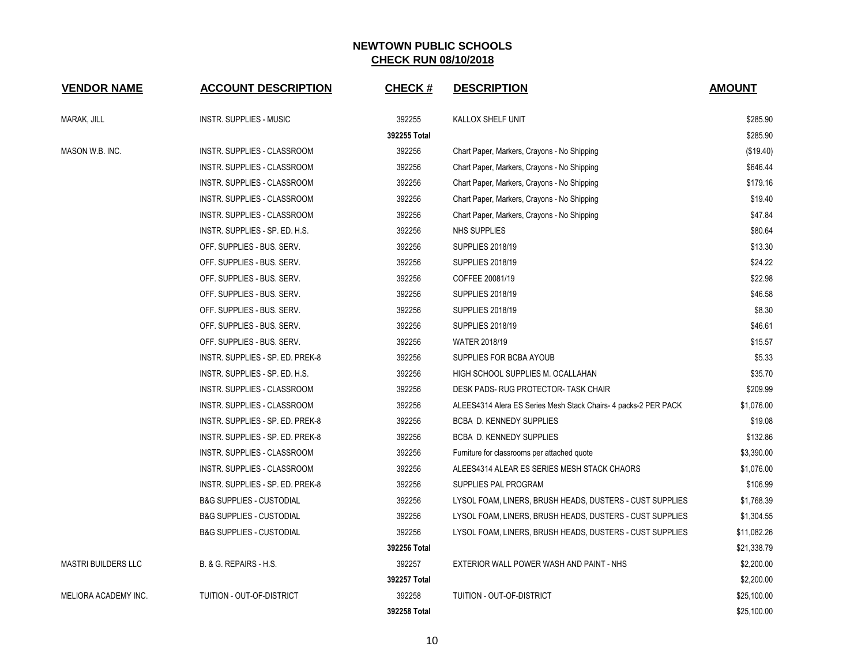| <b>VENDOR NAME</b>         | <b>ACCOUNT DESCRIPTION</b>          | <b>CHECK#</b> | <b>DESCRIPTION</b>                                              | <b>AMOUNT</b> |
|----------------------------|-------------------------------------|---------------|-----------------------------------------------------------------|---------------|
| MARAK, JILL                | INSTR. SUPPLIES - MUSIC             | 392255        | KALLOX SHELF UNIT                                               | \$285.90      |
|                            |                                     | 392255 Total  |                                                                 | \$285.90      |
| MASON W.B. INC.            | INSTR. SUPPLIES - CLASSROOM         | 392256        | Chart Paper, Markers, Crayons - No Shipping                     | (\$19.40)     |
|                            | INSTR. SUPPLIES - CLASSROOM         | 392256        | Chart Paper, Markers, Crayons - No Shipping                     | \$646.44      |
|                            | INSTR. SUPPLIES - CLASSROOM         | 392256        | Chart Paper, Markers, Crayons - No Shipping                     | \$179.16      |
|                            | INSTR. SUPPLIES - CLASSROOM         | 392256        | Chart Paper, Markers, Crayons - No Shipping                     | \$19.40       |
|                            | INSTR. SUPPLIES - CLASSROOM         | 392256        | Chart Paper, Markers, Crayons - No Shipping                     | \$47.84       |
|                            | INSTR. SUPPLIES - SP. ED. H.S.      | 392256        | <b>NHS SUPPLIES</b>                                             | \$80.64       |
|                            | OFF. SUPPLIES - BUS. SERV.          | 392256        | <b>SUPPLIES 2018/19</b>                                         | \$13.30       |
|                            | OFF. SUPPLIES - BUS. SERV.          | 392256        | <b>SUPPLIES 2018/19</b>                                         | \$24.22       |
|                            | OFF. SUPPLIES - BUS. SERV.          | 392256        | COFFEE 20081/19                                                 | \$22.98       |
|                            | OFF. SUPPLIES - BUS. SERV.          | 392256        | <b>SUPPLIES 2018/19</b>                                         | \$46.58       |
|                            | OFF. SUPPLIES - BUS. SERV.          | 392256        | <b>SUPPLIES 2018/19</b>                                         | \$8.30        |
|                            | OFF. SUPPLIES - BUS. SERV.          | 392256        | <b>SUPPLIES 2018/19</b>                                         | \$46.61       |
|                            | OFF. SUPPLIES - BUS. SERV.          | 392256        | WATER 2018/19                                                   | \$15.57       |
|                            | INSTR. SUPPLIES - SP. ED. PREK-8    | 392256        | SUPPLIES FOR BCBA AYOUB                                         | \$5.33        |
|                            | INSTR. SUPPLIES - SP. ED. H.S.      | 392256        | HIGH SCHOOL SUPPLIES M. OCALLAHAN                               | \$35.70       |
|                            | INSTR. SUPPLIES - CLASSROOM         | 392256        | DESK PADS-RUG PROTECTOR-TASK CHAIR                              | \$209.99      |
|                            | INSTR. SUPPLIES - CLASSROOM         | 392256        | ALEES4314 Alera ES Series Mesh Stack Chairs- 4 packs-2 PER PACK | \$1,076.00    |
|                            | INSTR. SUPPLIES - SP. ED. PREK-8    | 392256        | <b>BCBA D. KENNEDY SUPPLIES</b>                                 | \$19.08       |
|                            | INSTR. SUPPLIES - SP. ED. PREK-8    | 392256        | BCBA D. KENNEDY SUPPLIES                                        | \$132.86      |
|                            | INSTR. SUPPLIES - CLASSROOM         | 392256        | Furniture for classrooms per attached quote                     | \$3,390.00    |
|                            | INSTR. SUPPLIES - CLASSROOM         | 392256        | ALEES4314 ALEAR ES SERIES MESH STACK CHAORS                     | \$1,076.00    |
|                            | INSTR. SUPPLIES - SP. ED. PREK-8    | 392256        | SUPPLIES PAL PROGRAM                                            | \$106.99      |
|                            | <b>B&amp;G SUPPLIES - CUSTODIAL</b> | 392256        | LYSOL FOAM, LINERS, BRUSH HEADS, DUSTERS - CUST SUPPLIES        | \$1,768.39    |
|                            | <b>B&amp;G SUPPLIES - CUSTODIAL</b> | 392256        | LYSOL FOAM, LINERS, BRUSH HEADS, DUSTERS - CUST SUPPLIES        | \$1,304.55    |
|                            | <b>B&amp;G SUPPLIES - CUSTODIAL</b> | 392256        | LYSOL FOAM, LINERS, BRUSH HEADS, DUSTERS - CUST SUPPLIES        | \$11,082.26   |
|                            |                                     | 392256 Total  |                                                                 | \$21,338.79   |
| <b>MASTRI BUILDERS LLC</b> | B. & G. REPAIRS - H.S.              | 392257        | EXTERIOR WALL POWER WASH AND PAINT - NHS                        | \$2,200.00    |
|                            |                                     | 392257 Total  |                                                                 | \$2,200.00    |
| MELIORA ACADEMY INC.       | TUITION - OUT-OF-DISTRICT           | 392258        | TUITION - OUT-OF-DISTRICT                                       | \$25,100.00   |
|                            |                                     | 392258 Total  |                                                                 | \$25,100.00   |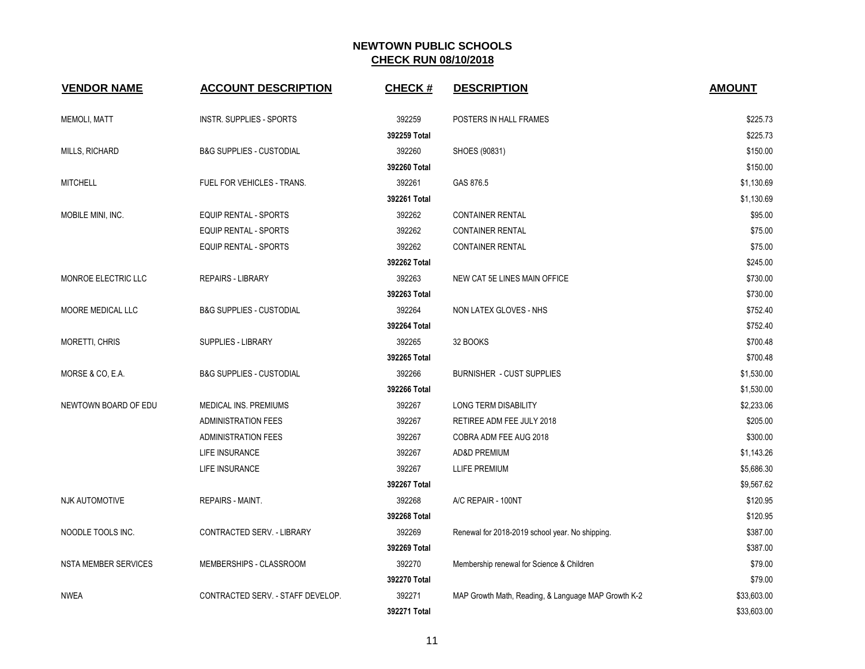| <b>VENDOR NAME</b>          | <b>ACCOUNT DESCRIPTION</b>          | <b>CHECK#</b> | <b>DESCRIPTION</b>                                  | <b>AMOUNT</b> |
|-----------------------------|-------------------------------------|---------------|-----------------------------------------------------|---------------|
| MEMOLI, MATT                | INSTR. SUPPLIES - SPORTS            | 392259        | POSTERS IN HALL FRAMES                              | \$225.73      |
|                             |                                     | 392259 Total  |                                                     | \$225.73      |
| MILLS, RICHARD              | <b>B&amp;G SUPPLIES - CUSTODIAL</b> | 392260        | SHOES (90831)                                       | \$150.00      |
|                             |                                     | 392260 Total  |                                                     | \$150.00      |
| <b>MITCHELL</b>             | FUEL FOR VEHICLES - TRANS.          | 392261        | GAS 876.5                                           | \$1,130.69    |
|                             |                                     | 392261 Total  |                                                     | \$1,130.69    |
| MOBILE MINI, INC.           | EQUIP RENTAL - SPORTS               | 392262        | <b>CONTAINER RENTAL</b>                             | \$95.00       |
|                             | <b>EQUIP RENTAL - SPORTS</b>        | 392262        | <b>CONTAINER RENTAL</b>                             | \$75.00       |
|                             | <b>EQUIP RENTAL - SPORTS</b>        | 392262        | <b>CONTAINER RENTAL</b>                             | \$75.00       |
|                             |                                     | 392262 Total  |                                                     | \$245.00      |
| MONROE ELECTRIC LLC         | <b>REPAIRS - LIBRARY</b>            | 392263        | NEW CAT 5E LINES MAIN OFFICE                        | \$730.00      |
|                             |                                     | 392263 Total  |                                                     | \$730.00      |
| MOORE MEDICAL LLC           | <b>B&amp;G SUPPLIES - CUSTODIAL</b> | 392264        | NON LATEX GLOVES - NHS                              | \$752.40      |
|                             |                                     | 392264 Total  |                                                     | \$752.40      |
| MORETTI, CHRIS              | SUPPLIES - LIBRARY                  | 392265        | 32 BOOKS                                            | \$700.48      |
|                             |                                     | 392265 Total  |                                                     | \$700.48      |
| MORSE & CO, E.A.            | <b>B&amp;G SUPPLIES - CUSTODIAL</b> | 392266        | <b>BURNISHER - CUST SUPPLIES</b>                    | \$1,530.00    |
|                             |                                     | 392266 Total  |                                                     | \$1,530.00    |
| NEWTOWN BOARD OF EDU        | MEDICAL INS. PREMIUMS               | 392267        | LONG TERM DISABILITY                                | \$2,233.06    |
|                             | <b>ADMINISTRATION FEES</b>          | 392267        | RETIREE ADM FEE JULY 2018                           | \$205.00      |
|                             | <b>ADMINISTRATION FEES</b>          | 392267        | COBRA ADM FEE AUG 2018                              | \$300.00      |
|                             | LIFE INSURANCE                      | 392267        | AD&D PREMIUM                                        | \$1,143.26    |
|                             | <b>LIFE INSURANCE</b>               | 392267        | LLIFE PREMIUM                                       | \$5,686.30    |
|                             |                                     | 392267 Total  |                                                     | \$9,567.62    |
| <b>NJK AUTOMOTIVE</b>       | REPAIRS - MAINT.                    | 392268        | A/C REPAIR - 100NT                                  | \$120.95      |
|                             |                                     | 392268 Total  |                                                     | \$120.95      |
| NOODLE TOOLS INC.           | CONTRACTED SERV. - LIBRARY          | 392269        | Renewal for 2018-2019 school year. No shipping.     | \$387.00      |
|                             |                                     | 392269 Total  |                                                     | \$387.00      |
| <b>NSTA MEMBER SERVICES</b> | MEMBERSHIPS - CLASSROOM             | 392270        | Membership renewal for Science & Children           | \$79.00       |
|                             |                                     | 392270 Total  |                                                     | \$79.00       |
| NWEA                        | CONTRACTED SERV. - STAFF DEVELOP.   | 392271        | MAP Growth Math, Reading, & Language MAP Growth K-2 | \$33,603.00   |
|                             |                                     | 392271 Total  |                                                     | \$33,603.00   |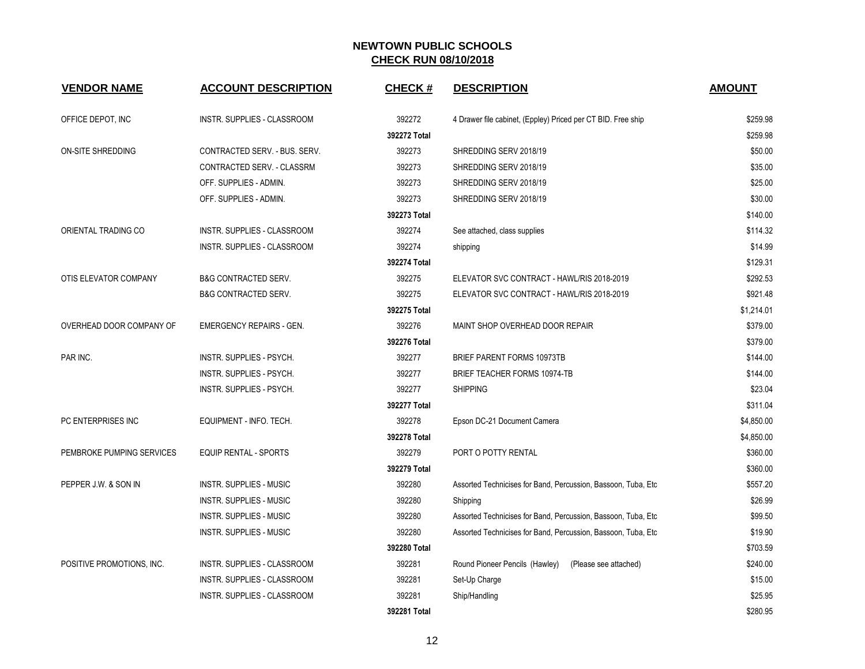| <b>VENDOR NAME</b>        | <b>ACCOUNT DESCRIPTION</b>         | <b>CHECK#</b> | <b>DESCRIPTION</b>                                             | <b>AMOUNT</b> |
|---------------------------|------------------------------------|---------------|----------------------------------------------------------------|---------------|
| OFFICE DEPOT, INC         | INSTR. SUPPLIES - CLASSROOM        | 392272        | 4 Drawer file cabinet, (Eppley) Priced per CT BID. Free ship   | \$259.98      |
|                           |                                    | 392272 Total  |                                                                | \$259.98      |
| <b>ON-SITE SHREDDING</b>  | CONTRACTED SERV. - BUS. SERV.      | 392273        | SHREDDING SERV 2018/19                                         | \$50.00       |
|                           | CONTRACTED SERV. - CLASSRM         | 392273        | SHREDDING SERV 2018/19                                         | \$35.00       |
|                           | OFF. SUPPLIES - ADMIN.             | 392273        | SHREDDING SERV 2018/19                                         | \$25.00       |
|                           | OFF. SUPPLIES - ADMIN.             | 392273        | SHREDDING SERV 2018/19                                         | \$30.00       |
|                           |                                    | 392273 Total  |                                                                | \$140.00      |
| ORIENTAL TRADING CO       | INSTR. SUPPLIES - CLASSROOM        | 392274        | See attached, class supplies                                   | \$114.32      |
|                           | INSTR. SUPPLIES - CLASSROOM        | 392274        | shipping                                                       | \$14.99       |
|                           |                                    | 392274 Total  |                                                                | \$129.31      |
| OTIS ELEVATOR COMPANY     | <b>B&amp;G CONTRACTED SERV.</b>    | 392275        | ELEVATOR SVC CONTRACT - HAWL/RIS 2018-2019                     | \$292.53      |
|                           | <b>B&amp;G CONTRACTED SERV.</b>    | 392275        | ELEVATOR SVC CONTRACT - HAWL/RIS 2018-2019                     | \$921.48      |
|                           |                                    | 392275 Total  |                                                                | \$1,214.01    |
| OVERHEAD DOOR COMPANY OF  | <b>EMERGENCY REPAIRS - GEN.</b>    | 392276        | MAINT SHOP OVERHEAD DOOR REPAIR                                | \$379.00      |
|                           |                                    | 392276 Total  |                                                                | \$379.00      |
| PAR INC.                  | INSTR. SUPPLIES - PSYCH.           | 392277        | BRIEF PARENT FORMS 10973TB                                     | \$144.00      |
|                           | INSTR. SUPPLIES - PSYCH.           | 392277        | BRIEF TEACHER FORMS 10974-TB                                   | \$144.00      |
|                           | INSTR. SUPPLIES - PSYCH.           | 392277        | <b>SHIPPING</b>                                                | \$23.04       |
|                           |                                    | 392277 Total  |                                                                | \$311.04      |
| PC ENTERPRISES INC        | EQUIPMENT - INFO. TECH.            | 392278        | Epson DC-21 Document Camera                                    | \$4,850.00    |
|                           |                                    | 392278 Total  |                                                                | \$4,850.00    |
| PEMBROKE PUMPING SERVICES | <b>EQUIP RENTAL - SPORTS</b>       | 392279        | PORT O POTTY RENTAL                                            | \$360.00      |
|                           |                                    | 392279 Total  |                                                                | \$360.00      |
| PEPPER J.W. & SON IN      | INSTR. SUPPLIES - MUSIC            | 392280        | Assorted Technicises for Band, Percussion, Bassoon, Tuba, Etc. | \$557.20      |
|                           | <b>INSTR. SUPPLIES - MUSIC</b>     | 392280        | Shipping                                                       | \$26.99       |
|                           | INSTR. SUPPLIES - MUSIC            | 392280        | Assorted Technicises for Band, Percussion, Bassoon, Tuba, Etc. | \$99.50       |
|                           | INSTR. SUPPLIES - MUSIC            | 392280        | Assorted Technicises for Band, Percussion, Bassoon, Tuba, Etc  | \$19.90       |
|                           |                                    | 392280 Total  |                                                                | \$703.59      |
| POSITIVE PROMOTIONS, INC. | <b>INSTR. SUPPLIES - CLASSROOM</b> | 392281        | Round Pioneer Pencils (Hawley)<br>(Please see attached)        | \$240.00      |
|                           | INSTR. SUPPLIES - CLASSROOM        | 392281        | Set-Up Charge                                                  | \$15.00       |
|                           | INSTR. SUPPLIES - CLASSROOM        | 392281        | Ship/Handling                                                  | \$25.95       |
|                           |                                    | 392281 Total  |                                                                | \$280.95      |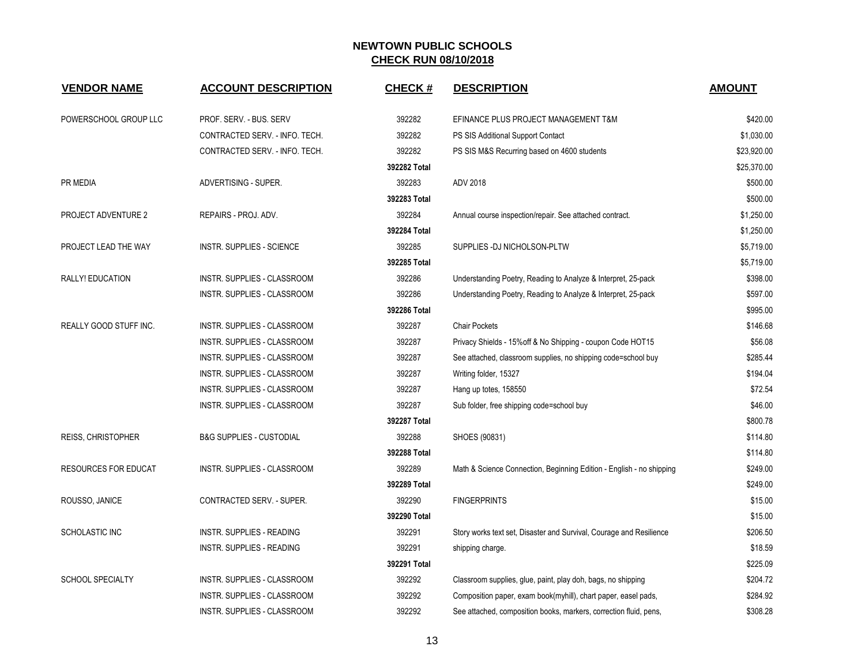| <b>VENDOR NAME</b>          | <b>ACCOUNT DESCRIPTION</b>          | <b>CHECK#</b> | <b>DESCRIPTION</b>                                                   | <b>AMOUNT</b> |
|-----------------------------|-------------------------------------|---------------|----------------------------------------------------------------------|---------------|
| POWERSCHOOL GROUP LLC       | PROF. SERV. - BUS. SERV             | 392282        | EFINANCE PLUS PROJECT MANAGEMENT T&M                                 | \$420.00      |
|                             | CONTRACTED SERV. - INFO. TECH.      | 392282        | PS SIS Additional Support Contact                                    | \$1,030.00    |
|                             | CONTRACTED SERV. - INFO. TECH.      | 392282        | PS SIS M&S Recurring based on 4600 students                          | \$23,920.00   |
|                             |                                     | 392282 Total  |                                                                      | \$25,370.00   |
| PR MEDIA                    | ADVERTISING - SUPER.                | 392283        | ADV 2018                                                             | \$500.00      |
|                             |                                     | 392283 Total  |                                                                      | \$500.00      |
| PROJECT ADVENTURE 2         | REPAIRS - PROJ. ADV.                | 392284        | Annual course inspection/repair. See attached contract.              | \$1,250.00    |
|                             |                                     | 392284 Total  |                                                                      | \$1,250.00    |
| PROJECT LEAD THE WAY        | <b>INSTR. SUPPLIES - SCIENCE</b>    | 392285        | SUPPLIES -DJ NICHOLSON-PLTW                                          | \$5,719.00    |
|                             |                                     | 392285 Total  |                                                                      | \$5,719.00    |
| RALLY! EDUCATION            | INSTR. SUPPLIES - CLASSROOM         | 392286        | Understanding Poetry, Reading to Analyze & Interpret, 25-pack        | \$398.00      |
|                             | INSTR. SUPPLIES - CLASSROOM         | 392286        | Understanding Poetry, Reading to Analyze & Interpret, 25-pack        | \$597.00      |
|                             |                                     | 392286 Total  |                                                                      | \$995.00      |
| REALLY GOOD STUFF INC.      | INSTR. SUPPLIES - CLASSROOM         | 392287        | <b>Chair Pockets</b>                                                 | \$146.68      |
|                             | INSTR. SUPPLIES - CLASSROOM         | 392287        | Privacy Shields - 15% off & No Shipping - coupon Code HOT15          | \$56.08       |
|                             | <b>INSTR. SUPPLIES - CLASSROOM</b>  | 392287        | See attached, classroom supplies, no shipping code=school buy        | \$285.44      |
|                             | INSTR. SUPPLIES - CLASSROOM         | 392287        | Writing folder, 15327                                                | \$194.04      |
|                             | INSTR. SUPPLIES - CLASSROOM         | 392287        | Hang up totes, 158550                                                | \$72.54       |
|                             | INSTR. SUPPLIES - CLASSROOM         | 392287        | Sub folder, free shipping code=school buy                            | \$46.00       |
|                             |                                     | 392287 Total  |                                                                      | \$800.78      |
| <b>REISS, CHRISTOPHER</b>   | <b>B&amp;G SUPPLIES - CUSTODIAL</b> | 392288        | SHOES (90831)                                                        | \$114.80      |
|                             |                                     | 392288 Total  |                                                                      | \$114.80      |
| <b>RESOURCES FOR EDUCAT</b> | INSTR. SUPPLIES - CLASSROOM         | 392289        | Math & Science Connection, Beginning Edition - English - no shipping | \$249.00      |
|                             |                                     | 392289 Total  |                                                                      | \$249.00      |
| ROUSSO, JANICE              | CONTRACTED SERV. - SUPER.           | 392290        | <b>FINGERPRINTS</b>                                                  | \$15.00       |
|                             |                                     | 392290 Total  |                                                                      | \$15.00       |
| SCHOLASTIC INC              | INSTR. SUPPLIES - READING           | 392291        | Story works text set, Disaster and Survival, Courage and Resilience  | \$206.50      |
|                             | INSTR. SUPPLIES - READING           | 392291        | shipping charge.                                                     | \$18.59       |
|                             |                                     | 392291 Total  |                                                                      | \$225.09      |
| <b>SCHOOL SPECIALTY</b>     | INSTR. SUPPLIES - CLASSROOM         | 392292        | Classroom supplies, glue, paint, play doh, bags, no shipping         | \$204.72      |
|                             | INSTR. SUPPLIES - CLASSROOM         | 392292        | Composition paper, exam book(myhill), chart paper, easel pads,       | \$284.92      |
|                             | INSTR. SUPPLIES - CLASSROOM         | 392292        | See attached, composition books, markers, correction fluid, pens,    | \$308.28      |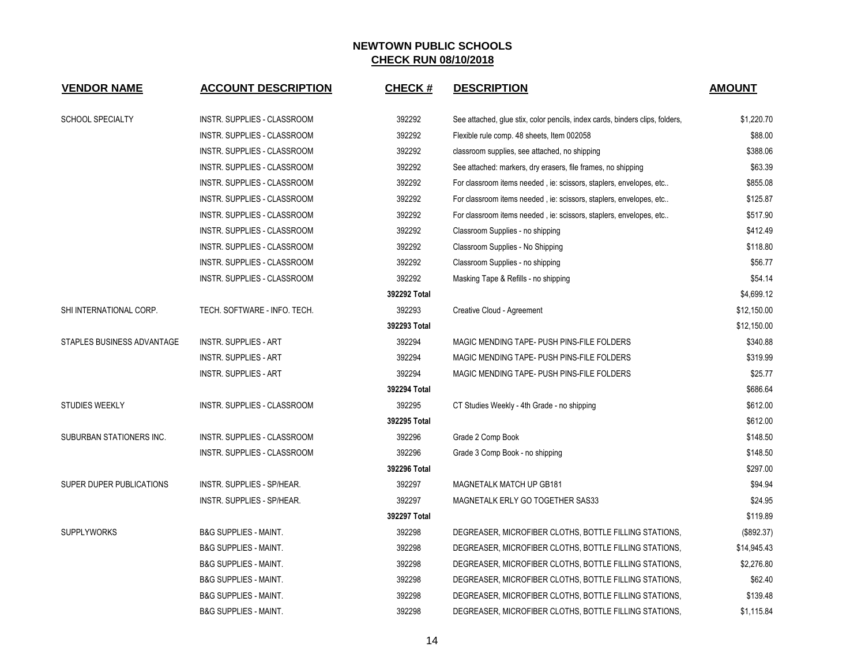| <b>VENDOR NAME</b>              | <b>ACCOUNT DESCRIPTION</b>         | <b>CHECK#</b> | <b>DESCRIPTION</b>                                                           | <b>AMOUNT</b> |
|---------------------------------|------------------------------------|---------------|------------------------------------------------------------------------------|---------------|
| <b>SCHOOL SPECIALTY</b>         | <b>INSTR. SUPPLIES - CLASSROOM</b> | 392292        | See attached, glue stix, color pencils, index cards, binders clips, folders, | \$1,220.70    |
|                                 | INSTR. SUPPLIES - CLASSROOM        | 392292        | Flexible rule comp. 48 sheets, Item 002058                                   | \$88.00       |
|                                 | INSTR. SUPPLIES - CLASSROOM        | 392292        | classroom supplies, see attached, no shipping                                | \$388.06      |
|                                 | INSTR. SUPPLIES - CLASSROOM        | 392292        | See attached: markers, dry erasers, file frames, no shipping                 | \$63.39       |
|                                 | INSTR. SUPPLIES - CLASSROOM        | 392292        | For classroom items needed, ie: scissors, staplers, envelopes, etc           | \$855.08      |
|                                 | INSTR. SUPPLIES - CLASSROOM        | 392292        | For classroom items needed, ie: scissors, staplers, envelopes, etc           | \$125.87      |
|                                 | INSTR. SUPPLIES - CLASSROOM        | 392292        | For classroom items needed, ie: scissors, staplers, envelopes, etc           | \$517.90      |
|                                 | INSTR. SUPPLIES - CLASSROOM        | 392292        | Classroom Supplies - no shipping                                             | \$412.49      |
|                                 | INSTR. SUPPLIES - CLASSROOM        | 392292        | Classroom Supplies - No Shipping                                             | \$118.80      |
|                                 | INSTR. SUPPLIES - CLASSROOM        | 392292        | Classroom Supplies - no shipping                                             | \$56.77       |
|                                 | INSTR. SUPPLIES - CLASSROOM        | 392292        | Masking Tape & Refills - no shipping                                         | \$54.14       |
|                                 |                                    | 392292 Total  |                                                                              | \$4,699.12    |
| SHI INTERNATIONAL CORP.         | TECH. SOFTWARE - INFO. TECH.       | 392293        | Creative Cloud - Agreement                                                   | \$12,150.00   |
|                                 |                                    | 392293 Total  |                                                                              | \$12,150.00   |
| STAPLES BUSINESS ADVANTAGE      | <b>INSTR. SUPPLIES - ART</b>       | 392294        | MAGIC MENDING TAPE- PUSH PINS-FILE FOLDERS                                   | \$340.88      |
|                                 | INSTR. SUPPLIES - ART              | 392294        | MAGIC MENDING TAPE- PUSH PINS-FILE FOLDERS                                   | \$319.99      |
|                                 | <b>INSTR. SUPPLIES - ART</b>       | 392294        | MAGIC MENDING TAPE- PUSH PINS-FILE FOLDERS                                   | \$25.77       |
|                                 |                                    | 392294 Total  |                                                                              | \$686.64      |
| <b>STUDIES WEEKLY</b>           | INSTR. SUPPLIES - CLASSROOM        | 392295        | CT Studies Weekly - 4th Grade - no shipping                                  | \$612.00      |
|                                 |                                    | 392295 Total  |                                                                              | \$612.00      |
| SUBURBAN STATIONERS INC.        | <b>INSTR. SUPPLIES - CLASSROOM</b> | 392296        | Grade 2 Comp Book                                                            | \$148.50      |
|                                 | INSTR. SUPPLIES - CLASSROOM        | 392296        | Grade 3 Comp Book - no shipping                                              | \$148.50      |
|                                 |                                    | 392296 Total  |                                                                              | \$297.00      |
| <b>SUPER DUPER PUBLICATIONS</b> | <b>INSTR. SUPPLIES - SP/HEAR.</b>  | 392297        | <b>MAGNETALK MATCH UP GB181</b>                                              | \$94.94       |
|                                 | INSTR. SUPPLIES - SP/HEAR.         | 392297        | MAGNETALK ERLY GO TOGETHER SAS33                                             | \$24.95       |
|                                 |                                    | 392297 Total  |                                                                              | \$119.89      |
| <b>SUPPLYWORKS</b>              | <b>B&amp;G SUPPLIES - MAINT.</b>   | 392298        | DEGREASER, MICROFIBER CLOTHS, BOTTLE FILLING STATIONS,                       | (\$892.37)    |
|                                 | <b>B&amp;G SUPPLIES - MAINT.</b>   | 392298        | DEGREASER, MICROFIBER CLOTHS, BOTTLE FILLING STATIONS,                       | \$14,945.43   |
|                                 | <b>B&amp;G SUPPLIES - MAINT.</b>   | 392298        | DEGREASER, MICROFIBER CLOTHS, BOTTLE FILLING STATIONS,                       | \$2,276.80    |
|                                 | <b>B&amp;G SUPPLIES - MAINT.</b>   | 392298        | DEGREASER, MICROFIBER CLOTHS, BOTTLE FILLING STATIONS,                       | \$62.40       |
|                                 | <b>B&amp;G SUPPLIES - MAINT.</b>   | 392298        | DEGREASER, MICROFIBER CLOTHS, BOTTLE FILLING STATIONS,                       | \$139.48      |
|                                 | <b>B&amp;G SUPPLIES - MAINT.</b>   | 392298        | DEGREASER, MICROFIBER CLOTHS, BOTTLE FILLING STATIONS,                       | \$1,115.84    |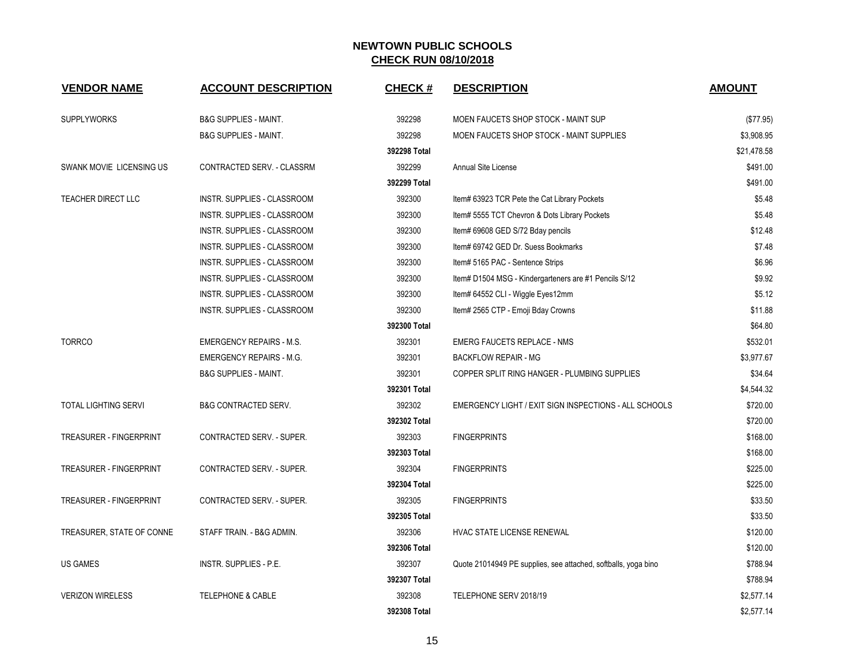| <b>VENDOR NAME</b>             | <b>ACCOUNT DESCRIPTION</b>       | <b>CHECK#</b> | <b>DESCRIPTION</b>                                             | <b>AMOUNT</b> |
|--------------------------------|----------------------------------|---------------|----------------------------------------------------------------|---------------|
| <b>SUPPLYWORKS</b>             | <b>B&amp;G SUPPLIES - MAINT.</b> | 392298        | MOEN FAUCETS SHOP STOCK - MAINT SUP                            | (\$77.95)     |
|                                | <b>B&amp;G SUPPLIES - MAINT.</b> | 392298        | MOEN FAUCETS SHOP STOCK - MAINT SUPPLIES                       | \$3,908.95    |
|                                |                                  | 392298 Total  |                                                                | \$21,478.58   |
| SWANK MOVIE LICENSING US       | CONTRACTED SERV. - CLASSRM       | 392299        | Annual Site License                                            | \$491.00      |
|                                |                                  | 392299 Total  |                                                                | \$491.00      |
| <b>TEACHER DIRECT LLC</b>      | INSTR. SUPPLIES - CLASSROOM      | 392300        | Item# 63923 TCR Pete the Cat Library Pockets                   | \$5.48        |
|                                | INSTR. SUPPLIES - CLASSROOM      | 392300        | Item# 5555 TCT Chevron & Dots Library Pockets                  | \$5.48        |
|                                | INSTR. SUPPLIES - CLASSROOM      | 392300        | Item# 69608 GED S/72 Bday pencils                              | \$12.48       |
|                                | INSTR. SUPPLIES - CLASSROOM      | 392300        | Item# 69742 GED Dr. Suess Bookmarks                            | \$7.48        |
|                                | INSTR. SUPPLIES - CLASSROOM      | 392300        | Item# 5165 PAC - Sentence Strips                               | \$6.96        |
|                                | INSTR. SUPPLIES - CLASSROOM      | 392300        | Item# D1504 MSG - Kindergarteners are #1 Pencils S/12          | \$9.92        |
|                                | INSTR. SUPPLIES - CLASSROOM      | 392300        | Item# 64552 CLI - Wiggle Eyes12mm                              | \$5.12        |
|                                | INSTR. SUPPLIES - CLASSROOM      | 392300        | Item# 2565 CTP - Emoji Bday Crowns                             | \$11.88       |
|                                |                                  | 392300 Total  |                                                                | \$64.80       |
| <b>TORRCO</b>                  | <b>EMERGENCY REPAIRS - M.S.</b>  | 392301        | <b>EMERG FAUCETS REPLACE - NMS</b>                             | \$532.01      |
|                                | <b>EMERGENCY REPAIRS - M.G.</b>  | 392301        | <b>BACKFLOW REPAIR - MG</b>                                    | \$3,977.67    |
|                                | <b>B&amp;G SUPPLIES - MAINT.</b> | 392301        | COPPER SPLIT RING HANGER - PLUMBING SUPPLIES                   | \$34.64       |
|                                |                                  | 392301 Total  |                                                                | \$4,544.32    |
| <b>TOTAL LIGHTING SERVI</b>    | <b>B&amp;G CONTRACTED SERV.</b>  | 392302        | EMERGENCY LIGHT / EXIT SIGN INSPECTIONS - ALL SCHOOLS          | \$720.00      |
|                                |                                  | 392302 Total  |                                                                | \$720.00      |
| <b>TREASURER - FINGERPRINT</b> | CONTRACTED SERV. - SUPER.        | 392303        | <b>FINGERPRINTS</b>                                            | \$168.00      |
|                                |                                  | 392303 Total  |                                                                | \$168.00      |
| <b>TREASURER - FINGERPRINT</b> | CONTRACTED SERV. - SUPER.        | 392304        | <b>FINGERPRINTS</b>                                            | \$225.00      |
|                                |                                  | 392304 Total  |                                                                | \$225.00      |
| <b>TREASURER - FINGERPRINT</b> | CONTRACTED SERV. - SUPER.        | 392305        | <b>FINGERPRINTS</b>                                            | \$33.50       |
|                                |                                  | 392305 Total  |                                                                | \$33.50       |
| TREASURER, STATE OF CONNE      | STAFF TRAIN. - B&G ADMIN.        | 392306        | HVAC STATE LICENSE RENEWAL                                     | \$120.00      |
|                                |                                  | 392306 Total  |                                                                | \$120.00      |
| <b>US GAMES</b>                | INSTR. SUPPLIES - P.E.           | 392307        | Quote 21014949 PE supplies, see attached, softballs, yoga bino | \$788.94      |
|                                |                                  | 392307 Total  |                                                                | \$788.94      |
| <b>VERIZON WIRELESS</b>        | <b>TELEPHONE &amp; CABLE</b>     | 392308        | TELEPHONE SERV 2018/19                                         | \$2,577.14    |
|                                |                                  | 392308 Total  |                                                                | \$2,577.14    |